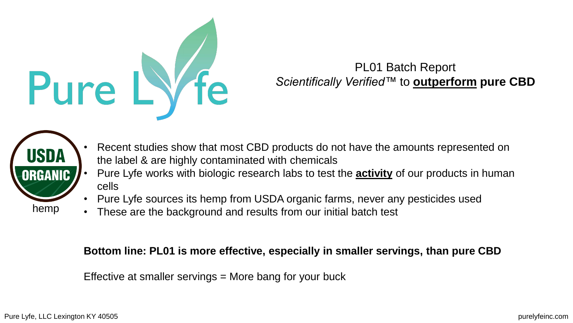

## PL01 Batch Report *Scientifically Verified™* to **outperform pure CBD**



- Recent studies show that most CBD products do not have the amounts represented on the label & are highly contaminated with chemicals
- Pure Lyfe works with biologic research labs to test the **activity** of our products in human cells
- Pure Lyfe sources its hemp from USDA organic farms, never any pesticides used
- These are the background and results from our initial batch test

## **Bottom line: PL01 is more effective, especially in smaller servings, than pure CBD**

Effective at smaller servings = More bang for your buck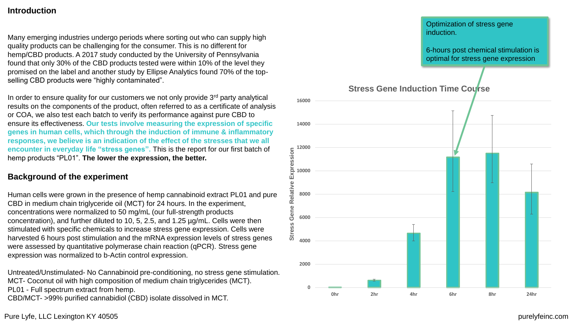#### **Introduction**

Many emerging industries undergo periods where sorting out who can supply high quality products can be challenging for the consumer. This is no different for hemp/CBD products. A 2017 study conducted by the University of Pennsylvania found that only 30% of the CBD products tested were within 10% of the level they promised on the label and another study by Ellipse Analytics found 70% of the topselling CBD products were "highly contaminated".

In order to ensure quality for our customers we not only provide  $3<sup>rd</sup>$  party analytical results on the components of the product, often referred to as a certificate of analysis or COA, we also test each batch to verify its performance against pure CBD to ensure its effectiveness. **Our tests involve measuring the expression of specific genes in human cells, which through the induction of immune & inflammatory responses, we believe is an indication of the effect of the stresses that we all encounter in everyday life "stress genes".** This is the report for our first batch of hemp products "PL01". **The lower the expression, the better.** 

#### **Background of the experiment**

Human cells were grown in the presence of hemp cannabinoid extract PL01 and pure CBD in medium chain triglyceride oil (MCT) for 24 hours. In the experiment, concentrations were normalized to 50 mg/mL (our full-strength products concentration), and further diluted to 10, 5, 2.5, and 1.25 µg/mL. Cells were then stimulated with specific chemicals to increase stress gene expression. Cells were harvested 6 hours post stimulation and the mRNA expression levels of stress genes were assessed by quantitative polymerase chain reaction (qPCR). Stress gene expression was normalized to b-Actin control expression.

Untreated/Unstimulated- No Cannabinoid pre-conditioning, no stress gene stimulation. MCT- Coconut oil with high composition of medium chain triglycerides (MCT). PL01 - Full spectrum extract from hemp. CBD/MCT- >99% purified cannabidiol (CBD) isolate dissolved in MCT.



#### Pure Lyfe, LLC Lexington KY 40505 purelyfeinc.com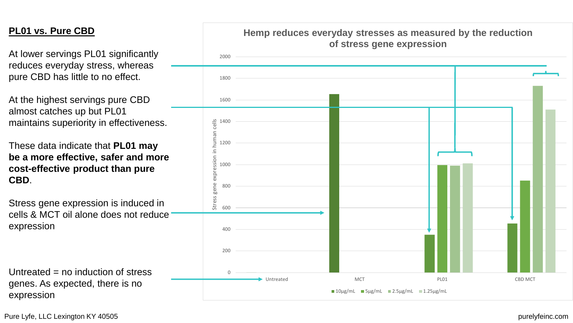### **PL01 vs. Pure CBD**

At lower servings PL01 significantly reduces everyday stress, whereas pure CBD has little to no effect.

At the highest servings pure CBD almost catches up but PL01 maintains superiority in effectiveness.

These data indicate that **PL01 may be a more effective, safer and more cost-effective product than pure CBD**.

Stress gene expression is induced in cells & MCT oil alone does not reduce expression

Untreated  $=$  no induction of stress genes. As expected, there is no expression



Pure Lyfe, LLC Lexington KY 40505 purelyfeinc.com